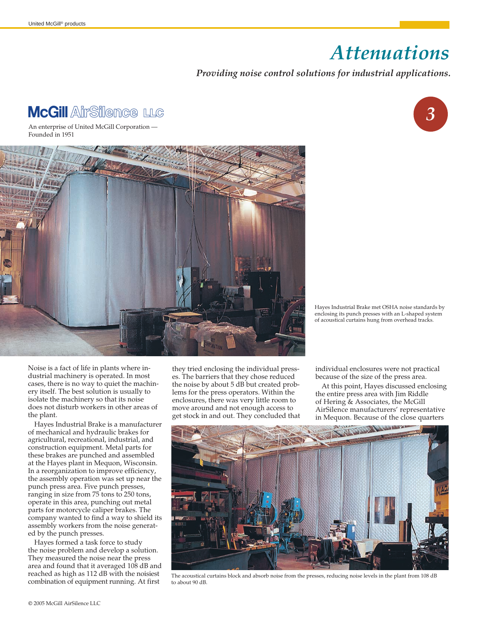## *Attenuations ,*

## *Providing noise control solutions for industrial applications.*



An enterprise of United McGill Corporation — Founded in 1951



Hayes Industrial Brake met OSHA noise standards by enclosing its punch presses with an L-shaped system of acoustical curtains hung from overhead tracks.

Noise is a fact of life in plants where industrial machinery is operated. In most cases, there is no way to quiet the machinery itself. The best solution is usually to isolate the machinery so that its noise does not disturb workers in other areas of the plant.

Hayes Industrial Brake is a manufacturer of mechanical and hydraulic brakes for agricultural, recreational, industrial, and construction equipment. Metal parts for these brakes are punched and assembled at the Hayes plant in Mequon, Wisconsin. In a reorganization to improve efficiency, the assembly operation was set up near the punch press area. Five punch presses, ranging in size from 75 tons to 250 tons, operate in this area, punching out metal parts for motorcycle caliper brakes. The company wanted to find a way to shield its assembly workers from the noise generated by the punch presses.

Hayes formed a task force to study the noise problem and develop a solution. They measured the noise near the press area and found that it averaged 108 dB and reached as high as 112 dB with the noisiest combination of equipment running. At first

they tried enclosing the individual presses. The barriers that they chose reduced the noise by about 5 dB but created problems for the press operators. Within the enclosures, there was very little room to move around and not enough access to get stock in and out. They concluded that

individual enclosures were not practical because of the size of the press area.

At this point, Hayes discussed enclosing the entire press area with Jim Riddle of Hering & Associates, the McGill AirSilence manufacturers' representative in Mequon. Because of the close quarters



The acoustical curtains block and absorb noise from the presses, reducing noise levels in the plant from 108 dB to about 90 dB.